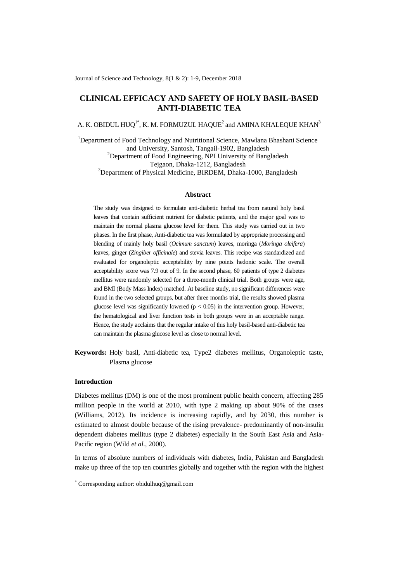# **CLINICAL EFFICACY AND SAFETY OF HOLY BASIL-BASED ANTI-DIABETIC TEA**

A. K. OBIDUL HUQ $^{\rm l}$ \*, K. M. FORMUZUL HAQUE $^{\rm 2}$  and AMINA KHALEQUE KHAN $^{\rm 3}$ 

<sup>1</sup>Department of Food Technology and Nutritional Science, Mawlana Bhashani Science and University, Santosh, Tangail-1902, Bangladesh <sup>2</sup>Department of Food Engineering, NPI University of Bangladesh Tejgaon, Dhaka-1212, Bangladesh <sup>3</sup>Department of Physical Medicine, BIRDEM, Dhaka-1000, Bangladesh

## **Abstract**

The study was designed to formulate anti-diabetic herbal tea from natural holy basil leaves that contain sufficient nutrient for diabetic patients, and the major goal was to maintain the normal plasma glucose level for them. This study was carried out in two phases. In the first phase, Anti-diabetic tea was formulated by appropriate processing and blending of mainly holy basil (*Ocimum sanctum*) leaves, moringa (*Moringa oleifera*) leaves, ginger (*Zingiber officinale*) and stevia leaves. This recipe was standardized and evaluated for organoleptic acceptability by nine points hedonic scale. The overall acceptability score was 7.9 out of 9. In the second phase, 60 patients of type 2 diabetes mellitus were randomly selected for a three-month clinical trial. Both groups were age, and BMI (Body Mass Index) matched. At baseline study, no significant differences were found in the two selected groups, but after three months trial, the results showed plasma glucose level was significantly lowered ( $p < 0.05$ ) in the intervention group. However, the hematological and liver function tests in both groups were in an acceptable range. Hence, the study acclaims that the regular intake of this holy basil-based anti-diabetic tea can maintain the plasma glucose level as close to normal level.

**Keywords:** Holy basil, Anti-diabetic tea, Type2 diabetes mellitus, Organoleptic taste, Plasma glucose

### **Introduction**

-

Diabetes mellitus (DM) is one of the most prominent public health concern, affecting 285 million people in the world at 2010, with type 2 making up about 90% of the cases (Williams, 2012). Its incidence is increasing rapidly, and by 2030, this number is estimated to almost double because of the rising prevalence- predominantly of non-insulin dependent diabetes mellitus (type 2 diabetes) especially in the South East Asia and Asia-Pacific region (Wild *et al.,* 2000).

In terms of absolute numbers of individuals with diabetes, India, Pakistan and Bangladesh make up three of the top ten countries globally and together with the region with the highest

<sup>\*</sup> Corresponding author: obidulhuq@gmail.com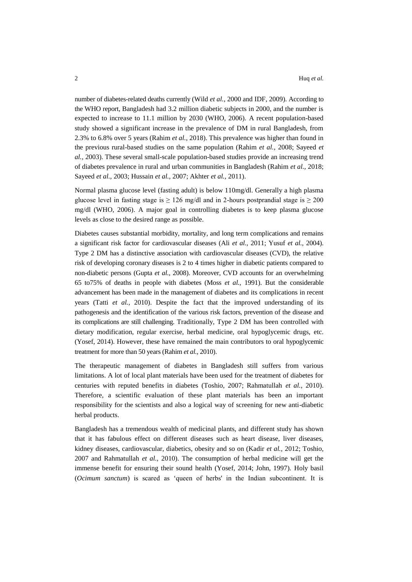number of diabetes-related deaths currently (Wild *et al.,* 2000 and IDF, 2009). According to the WHO report, Bangladesh had 3.2 million diabetic subjects in 2000, and the number is expected to increase to 11.1 million by 2030 (WHO, 2006). A recent population-based study showed a significant increase in the prevalence of DM in rural Bangladesh, from 2.3% to 6.8% over 5 years (Rahim *et al.,* 2018). This prevalence was higher than found in the previous rural-based studies on the same population (Rahim *et al.,* 2008; Sayeed *et al.,* 2003). These several small-scale population-based studies provide an increasing trend of diabetes prevalence in rural and urban communities in Bangladesh (Rahim *et al.,* 2018; Sayeed *et al.,* 2003; Hussain *et al.,* 2007; Akhter *et al.,* 2011).

Normal plasma glucose level (fasting adult) is below 110mg/dl. Generally a high plasma glucose level in fasting stage is  $\geq 126$  mg/dl and in 2-hours postprandial stage is  $\geq 200$ mg/dl (WHO, 2006). A major goal in controlling diabetes is to keep plasma glucose levels as close to the desired range as possible.

Diabetes causes substantial morbidity, mortality, and long term complications and remains a significant risk factor for cardiovascular diseases (Ali *et al.,* 2011; Yusuf *et al.,* 2004). Type 2 DM has a distinctive association with cardiovascular diseases (CVD), the relative risk of developing coronary diseases is 2 to 4 times higher in diabetic patients compared to non-diabetic persons (Gupta *et al.,* 2008). Moreover, CVD accounts for an overwhelming 65 to75% of deaths in people with diabetes (Moss *et al.,* 1991). But the considerable advancement has been made in the management of diabetes and its complications in recent years (Tatti *et al.,* 2010). Despite the fact that the improved understanding of its pathogenesis and the identification of the various risk factors, prevention of the disease and its complications are still challenging. Traditionally, Type 2 DM has been controlled with dietary modification, regular exercise, herbal medicine, oral hypoglycemic drugs, etc. (Yosef, 2014). However, these have remained the main contributors to oral hypoglycemic treatment for more than 50 years (Rahim *et al.,* 2010).

The therapeutic management of diabetes in Bangladesh still suffers from various limitations. A lot of local plant materials have been used for the treatment of diabetes for centuries with reputed benefits in diabetes (Toshio, 2007; Rahmatullah *et al.,* 2010). Therefore, a scientific evaluation of these plant materials has been an important responsibility for the scientists and also a logical way of screening for new anti-diabetic herbal products.

Bangladesh has a tremendous wealth of medicinal plants, and different study has shown that it has fabulous effect on different diseases such as heart disease, liver diseases, kidney diseases, cardiovascular, diabetics, obesity and so on (Kadir *et al.,* 2012; Toshio, 2007 and Rahmatullah *et al.,* 2010). The consumption of herbal medicine will get the immense benefit for ensuring their sound health (Yosef, 2014; John, 1997). Holy basil (*Ocimum sanctum*) is scared as 'queen of herbs' in the Indian subcontinent. It is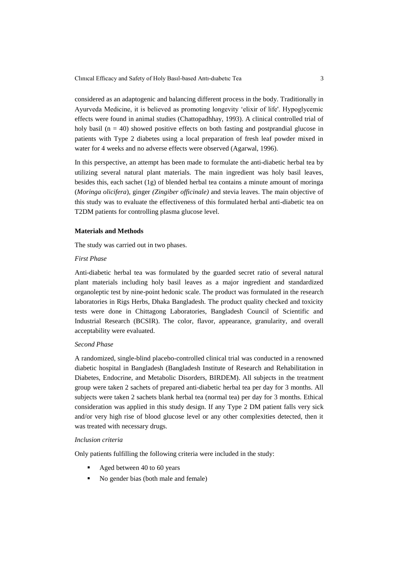considered as an adaptogenic and balancing different process in the body. Traditionally in Ayurveda Medicine, it is believed as promoting longevity 'elixir of life'. Hypoglycemic effects were found in animal studies (Chattopadhhay, 1993). A clinical controlled trial of holy basil ( $n = 40$ ) showed positive effects on both fasting and postprandial glucose in patients with Type 2 diabetes using a local preparation of fresh leaf powder mixed in water for 4 weeks and no adverse effects were observed (Agarwal, 1996).

In this perspective, an attempt has been made to formulate the anti-diabetic herbal tea by utilizing several natural plant materials. The main ingredient was holy basil leaves, besides this, each sachet (1g) of blended herbal tea contains a minute amount of moringa (*Moringa olicifera*), ginger *(Zingiber officinale)* and stevia leaves. The main objective of this study was to evaluate the effectiveness of this formulated herbal anti-diabetic tea on T2DM patients for controlling plasma glucose level.

## **Materials and Methods**

The study was carried out in two phases.

#### *First Phase*

Anti-diabetic herbal tea was formulated by the guarded secret ratio of several natural plant materials including holy basil leaves as a major ingredient and standardized organoleptic test by nine-point hedonic scale. The product was formulated in the research laboratories in Rigs Herbs, Dhaka Bangladesh. The product quality checked and toxicity tests were done in Chittagong Laboratories, Bangladesh Council of Scientific and Industrial Research (BCSIR). The color, flavor, appearance, granularity, and overall acceptability were evaluated.

## *Second Phase*

A randomized, single-blind placebo-controlled clinical trial was conducted in a renowned diabetic hospital in Bangladesh (Bangladesh Institute of Research and Rehabilitation in Diabetes, Endocrine, and Metabolic Disorders, BIRDEM). All subjects in the treatment group were taken 2 sachets of prepared anti-diabetic herbal tea per day for 3 months. All subjects were taken 2 sachets blank herbal tea (normal tea) per day for 3 months. Ethical consideration was applied in this study design. If any Type 2 DM patient falls very sick and/or very high rise of blood glucose level or any other complexities detected, then it was treated with necessary drugs.

#### *Inclusion criteria*

Only patients fulfilling the following criteria were included in the study:

- Aged between 40 to 60 years
- No gender bias (both male and female)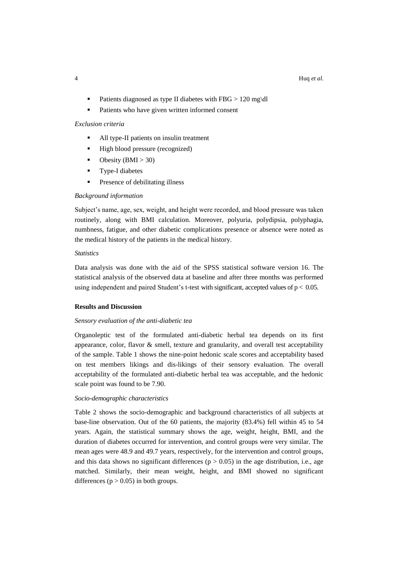- Patients diagnosed as type II diabetes with FBG > 120 mg\dl
- Patients who have given written informed consent

## *Exclusion criteria*

- All type-II patients on insulin treatment
- High blood pressure (recognized)
- Obesity (BMI  $>$  30)
- **Type-I diabetes**
- Presence of debilitating illness

#### *Background information*

Subject's name, age, sex, weight, and height were recorded, and blood pressure was taken routinely, along with BMI calculation. Moreover, polyuria, polydipsia, polyphagia, numbness, fatigue, and other diabetic complications presence or absence were noted as the medical history of the patients in the medical history.

## *Statistics*

Data analysis was done with the aid of the SPSS statistical software version 16. The statistical analysis of the observed data at baseline and after three months was performed using independent and paired Student's t-test with significant, accepted values of  $p < 0.05$ .

## **Results and Discussion**

#### *Sensory evaluation of the anti-diabetic tea*

Organoleptic test of the formulated anti-diabetic herbal tea depends on its first appearance, color, flavor  $\&$  smell, texture and granularity, and overall test acceptability of the sample. Table 1 shows the nine-point hedonic scale scores and acceptability based on test members likings and dis-likings of their sensory evaluation. The overall acceptability of the formulated anti-diabetic herbal tea was acceptable, and the hedonic scale point was found to be 7.90.

#### *Socio-demographic characteristics*

Table 2 shows the socio-demographic and background characteristics of all subjects at base-line observation. Out of the 60 patients, the majority (83.4%) fell within 45 to 54 years. Again, the statistical summary shows the age, weight, height, BMI, and the duration of diabetes occurred for intervention, and control groups were very similar. The mean ages were 48.9 and 49.7 years, respectively, for the intervention and control groups, and this data shows no significant differences ( $p > 0.05$ ) in the age distribution, i.e., age matched. Similarly, their mean weight, height, and BMI showed no significant differences ( $p > 0.05$ ) in both groups.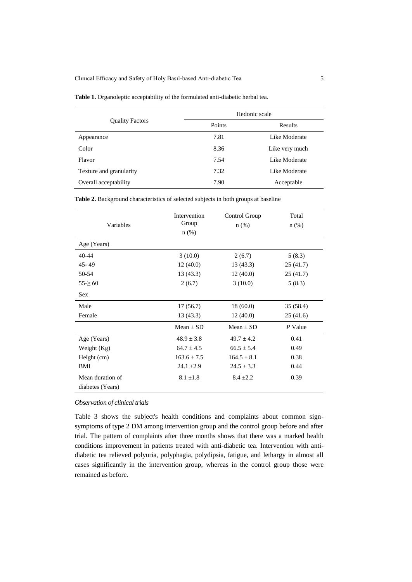|                         | Hedonic scale |                |  |  |
|-------------------------|---------------|----------------|--|--|
| <b>Quality Factors</b>  | Points        | Results        |  |  |
| Appearance              | 7.81          | Like Moderate  |  |  |
| Color                   | 8.36          | Like very much |  |  |
| Flavor                  | 7.54          | Like Moderate  |  |  |
| Texture and granularity | 7.32          | Like Moderate  |  |  |
| Overall acceptability   | 7.90          | Acceptable     |  |  |

**Table 2.** Background characteristics of selected subjects in both groups at baseline

| Variables                            | Intervention<br>Group<br>$n$ (%) | Control Group<br>$n$ (%) | Total<br>$n$ (%) |  |
|--------------------------------------|----------------------------------|--------------------------|------------------|--|
| Age (Years)                          |                                  |                          |                  |  |
| $40 - 44$                            | 3(10.0)                          | 2(6.7)                   | 5(8.3)           |  |
| $45 - 49$                            | 12(40.0)                         | 13(43.3)                 | 25(41.7)         |  |
| 50-54                                | 13(43.3)                         | 12(40.0)                 | 25(41.7)         |  |
| $55 - 60$                            | 2(6.7)                           | 3(10.0)                  | 5(8.3)           |  |
| <b>Sex</b>                           |                                  |                          |                  |  |
| Male                                 | 17(56.7)                         | 18(60.0)                 | 35 (58.4)        |  |
| Female                               | 13(43.3)                         | 12(40.0)                 | 25(41.6)         |  |
|                                      | $Mean + SD$                      | Mean $\pm$ SD            | P Value          |  |
| Age (Years)                          | $48.9 \pm 3.8$                   | $49.7 + 4.2$             | 0.41             |  |
| Weight (Kg)                          | $64.7 \pm 4.5$                   | $66.5 \pm 5.4$           | 0.49             |  |
| Height (cm)                          | $163.6 + 7.5$                    | $164.5 \pm 8.1$          | 0.38             |  |
| BMI                                  | $24.1 \pm 2.9$                   | $24.5 \pm 3.3$           | 0.44             |  |
| Mean duration of<br>diabetes (Years) | $8.1 \pm 1.8$                    | $8.4 + 2.2$              | 0.39             |  |

## *Observation of clinical trials*

Table 3 shows the subject's health conditions and complaints about common signsymptoms of type 2 DM among intervention group and the control group before and after trial. The pattern of complaints after three months shows that there was a marked health conditions improvement in patients treated with anti-diabetic tea. Intervention with antidiabetic tea relieved polyuria, polyphagia, polydipsia, fatigue, and lethargy in almost all cases significantly in the intervention group, whereas in the control group those were remained as before.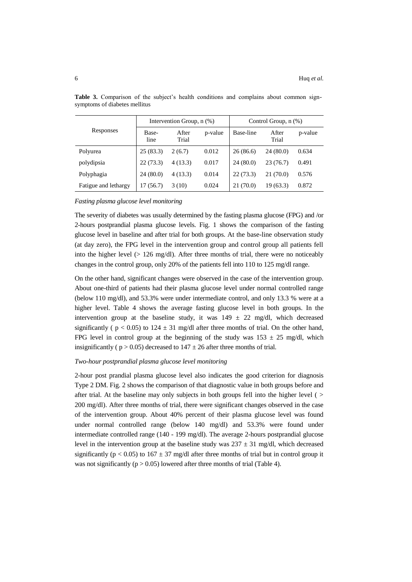| Responses            |               | Intervention Group, n (%) |         | Control Group, $n$ $(\%)$ |                |         |  |
|----------------------|---------------|---------------------------|---------|---------------------------|----------------|---------|--|
|                      | Base-<br>line | After<br>Trial            | p-value | Base-line                 | After<br>Trial | p-value |  |
| Polyurea             | 25(83.3)      | 2(6.7)                    | 0.012   | 26(86.6)                  | 24 (80.0)      | 0.634   |  |
| polydipsia           | 22(73.3)      | 4(13.3)                   | 0.017   | 24(80.0)                  | 23(76.7)       | 0.491   |  |
| Polyphagia           | 24(80.0)      | 4(13.3)                   | 0.014   | 22(73.3)                  | 21 (70.0)      | 0.576   |  |
| Fatigue and lethargy | 17 (56.7)     | 3(10)                     | 0.024   | 21 (70.0)                 | 19 (63.3)      | 0.872   |  |

**Table 3.** Comparison of the subject's health conditions and complains about common signsymptoms of diabetes mellitus

#### *Fasting plasma glucose level monitoring*

The severity of diabetes was usually determined by the fasting plasma glucose (FPG) and /or 2-hours postprandial plasma glucose levels. Fig. 1 shows the comparison of the fasting glucose level in baseline and after trial for both groups. At the base-line observation study (at day zero), the FPG level in the intervention group and control group all patients fell into the higher level ( $> 126$  mg/dl). After three months of trial, there were no noticeably changes in the control group, only 20% of the patients fell into 110 to 125 mg/dl range.

On the other hand, significant changes were observed in the case of the intervention group. About one-third of patients had their plasma glucose level under normal controlled range (below 110 mg/dl), and 53.3% were under intermediate control, and only 13.3 % were at a higher level. Table 4 shows the average fasting glucose level in both groups. In the intervention group at the baseline study, it was  $149 \pm 22$  mg/dl, which decreased significantly ( $p < 0.05$ ) to 124  $\pm$  31 mg/dl after three months of trial. On the other hand, FPG level in control group at the beginning of the study was  $153 \pm 25$  mg/dl, which insignificantly ( $p > 0.05$ ) decreased to  $147 \pm 26$  after three months of trial.

## *Two-hour postprandial plasma glucose level monitoring*

2-hour post prandial plasma glucose level also indicates the good criterion for diagnosis Type 2 DM. Fig. 2 shows the comparison of that diagnostic value in both groups before and after trial. At the baseline may only subjects in both groups fell into the higher level ( > 200 mg/dl). After three months of trial, there were significant changes observed in the case of the intervention group. About 40% percent of their plasma glucose level was found under normal controlled range (below 140 mg/dl) and 53.3% were found under intermediate controlled range (140 - 199 mg/dl). The average 2-hours postprandial glucose level in the intervention group at the baseline study was  $237 \pm 31$  mg/dl, which decreased significantly ( $p < 0.05$ ) to  $167 \pm 37$  mg/dl after three months of trial but in control group it was not significantly ( $p > 0.05$ ) lowered after three months of trial (Table 4).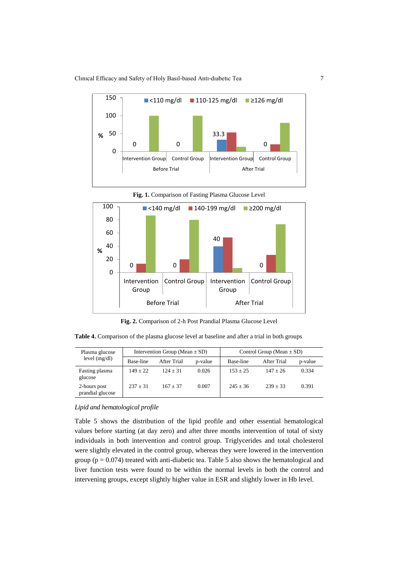Clınıcal Effıcacy and Safety of Holy Basıl-based Antı-dıabetıc Tea 7





**Fig. 1.** Comparison of Fasting Plasma Glucose Level

**Fig. 2.** Comparison of 2-h Post Prandial Plasma Glucose Level

**Table 4.** Comparison of the plasma glucose level at baseline and after a trial in both groups

| Plasma glucose<br>level (mg/dl)  | Intervention Group (Mean $\pm$ SD) |             |         | Control Group (Mean $\pm$ SD) |             |         |  |
|----------------------------------|------------------------------------|-------------|---------|-------------------------------|-------------|---------|--|
|                                  | Base-line                          | After Trial | p-value | Base-line                     | After Trial | p-value |  |
| Fasting plasma<br>glucose        | $149 + 22$                         | $124 + 31$  | 0.026   | $153 + 25$                    | $147 + 26$  | 0.334   |  |
| 2-hours post<br>prandial glucose | $237 + 31$                         | $167 + 37$  | 0.007   | $245 + 36$                    | $239 + 33$  | 0.391   |  |

## *Lipid and hematological profile*

Table 5 shows the distribution of the lipid profile and other essential hematological values before starting (at day zero) and after three months intervention of total of sixty individuals in both intervention and control group. Triglycerides and total cholesterol were slightly elevated in the control group, whereas they were lowered in the intervention group ( $p = 0.074$ ) treated with anti-diabetic tea. Table 5 also shows the hematological and liver function tests were found to be within the normal levels in both the control and intervening groups, except slightly higher value in ESR and slightly lower in Hb level.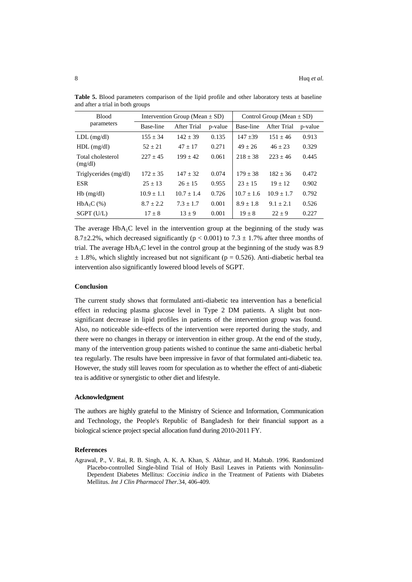| <b>Blood</b>                 |                | Intervention Group (Mean $\pm$ SD) |         | Control Group (Mean $\pm$ SD) |              |         |
|------------------------------|----------------|------------------------------------|---------|-------------------------------|--------------|---------|
| parameters                   | Base-line      | After Trial                        | p-value | Base-line                     | After Trial  | p-value |
| $LDL$ (mg/dl)                | $155 + 34$     | $142 + 39$                         | 0.135   | $147 + 39$                    | $151 + 46$   | 0.913   |
| $HDL$ (mg/dl)                | $52 + 21$      | $47 + 17$                          | 0.271   | $49 + 26$                     | $46 + 23$    | 0.329   |
| Total cholesterol<br>(mg/dl) | $227 + 45$     | $199 + 42$                         | 0.061   | $218 + 38$                    | $223 + 46$   | 0.445   |
| Triglycerides (mg/dl)        | $172 + 35$     | $147 + 32$                         | 0.074   | $179 + 38$                    | $182 + 36$   | 0.472   |
| <b>ESR</b>                   | $25 + 13$      | $26 + 15$                          | 0.955   | $23 + 15$                     | $19 + 12$    | 0.902   |
| $Hb$ (mg/dl)                 | $10.9 \pm 1.1$ | $10.7 + 1.4$                       | 0.726   | $10.7 + 1.6$                  | $10.9 + 1.7$ | 0.792   |
| $HbA_1C \quad (%)$           | $8.7 + 2.2$    | $7.3 + 1.7$                        | 0.001   | $8.9 + 1.8$                   | $9.1 + 2.1$  | 0.526   |
| $SGPT$ (U/L)                 | $17 + 8$       | $13 + 9$                           | 0.001   | $19 + 8$                      | $22 + 9$     | 0.227   |

**Table 5.** Blood parameters comparison of the lipid profile and other laboratory tests at baseline and after a trial in both groups

The average  $HbA_1C$  level in the intervention group at the beginning of the study was 8.7 $\pm$ 2.2%, which decreased significantly (p < 0.001) to 7.3  $\pm$  1.7% after three months of trial. The average  $HbA_1C$  level in the control group at the beginning of the study was 8.9  $\pm$  1.8%, which slightly increased but not significant (p = 0.526). Anti-diabetic herbal tea intervention also significantly lowered blood levels of SGPT.

## **Conclusion**

The current study shows that formulated anti-diabetic tea intervention has a beneficial effect in reducing plasma glucose level in Type 2 DM patients. A slight but nonsignificant decrease in lipid profiles in patients of the intervention group was found. Also, no noticeable side-effects of the intervention were reported during the study, and there were no changes in therapy or intervention in either group. At the end of the study, many of the intervention group patients wished to continue the same anti-diabetic herbal tea regularly. The results have been impressive in favor of that formulated anti-diabetic tea. However, the study still leaves room for speculation as to whether the effect of anti-diabetic tea is additive or synergistic to other diet and lifestyle.

#### **Acknowledgment**

The authors are highly grateful to the Ministry of Science and Information, Communication and Technology, the People's Republic of Bangladesh for their financial support as a biological science project special allocation fund during 2010-2011 FY.

#### **References**

Agrawal, P., V. Rai, R. B. Singh, A. K. A. Khan, S. Akhtar, and H. Mahtab. 1996. Randomized Placebo-controlled Single-blind Trial of Holy Basil Leaves in Patients with Noninsulin-Dependent Diabetes Mellitus: *Coccinia indica* in the Treatment of Patients with Diabetes Mellitus. *Int J Clin Pharmacol Ther.*34, 406-409.